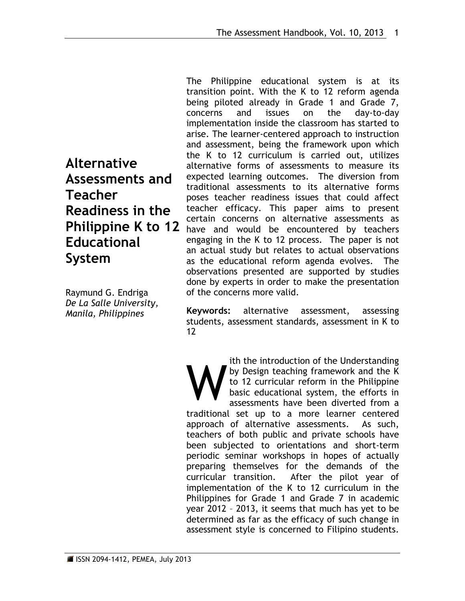**Alternative Assessments and Teacher Readiness in the Philippine K to 12 Educational System** 

Raymund G. Endriga *De La Salle University, Manila, Philippines*

The Philippine educational system is at its transition point. With the K to 12 reform agenda being piloted already in Grade 1 and Grade 7, concerns and issues on the day-to-day implementation inside the classroom has started to arise. The learner-centered approach to instruction and assessment, being the framework upon which the K to 12 curriculum is carried out, utilizes alternative forms of assessments to measure its expected learning outcomes. The diversion from traditional assessments to its alternative forms poses teacher readiness issues that could affect teacher efficacy. This paper aims to present certain concerns on alternative assessments as have and would be encountered by teachers engaging in the K to 12 process. The paper is not an actual study but relates to actual observations as the educational reform agenda evolves. The observations presented are supported by studies done by experts in order to make the presentation of the concerns more valid.

**Keywords:** alternative assessment, assessing students, assessment standards, assessment in K to 12

ith the introduction of the Understanding by Design teaching framework and the K to 12 curricular reform in the Philippine basic educational system, the efforts in assessments have been diverted from a traditional set up to a more learner centered approach of alternative assessments. As such, teachers of both public and private schools have been subjected to orientations and short-term periodic seminar workshops in hopes of actually preparing themselves for the demands of the curricular transition. After the pilot year of implementation of the K to 12 curriculum in the Philippines for Grade 1 and Grade 7 in academic year 2012 – 2013, it seems that much has yet to be determined as far as the efficacy of such change in assessment style is concerned to Filipino students. W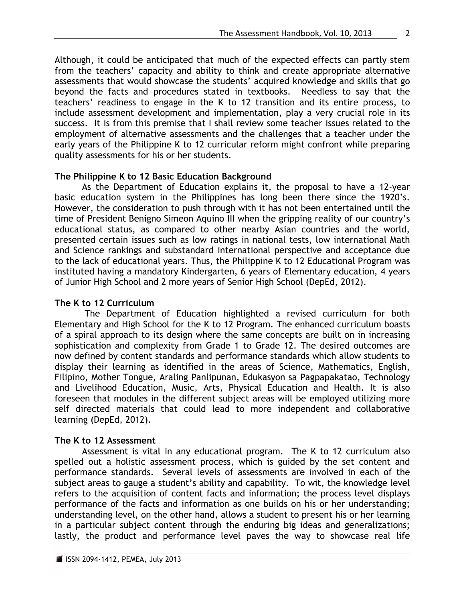Although, it could be anticipated that much of the expected effects can partly stem from the teachers' capacity and ability to think and create appropriate alternative assessments that would showcase the students' acquired knowledge and skills that go beyond the facts and procedures stated in textbooks. Needless to say that the teachers' readiness to engage in the K to 12 transition and its entire process, to include assessment development and implementation, play a very crucial role in its success. It is from this premise that I shall review some teacher issues related to the employment of alternative assessments and the challenges that a teacher under the early years of the Philippine K to 12 curricular reform might confront while preparing quality assessments for his or her students.

## **The Philippine K to 12 Basic Education Background**

As the Department of Education explains it, the proposal to have a 12-year basic education system in the Philippines has long been there since the 1920's. However, the consideration to push through with it has not been entertained until the time of President Benigno Simeon Aquino III when the gripping reality of our country's educational status, as compared to other nearby Asian countries and the world, presented certain issues such as low ratings in national tests, low international Math and Science rankings and substandard international perspective and acceptance due to the lack of educational years. Thus, the Philippine K to 12 Educational Program was instituted having a mandatory Kindergarten, 6 years of Elementary education, 4 years of Junior High School and 2 more years of Senior High School (DepEd, 2012).

### **The K to 12 Curriculum**

The Department of Education highlighted a revised curriculum for both Elementary and High School for the K to 12 Program. The enhanced curriculum boasts of a spiral approach to its design where the same concepts are built on in increasing sophistication and complexity from Grade 1 to Grade 12. The desired outcomes are now defined by content standards and performance standards which allow students to display their learning as identified in the areas of Science, Mathematics, English, Filipino, Mother Tongue, Araling Panlipunan, Edukasyon sa Pagpapakatao, Technology and Livelihood Education, Music, Arts, Physical Education and Health. It is also foreseen that modules in the different subject areas will be employed utilizing more self directed materials that could lead to more independent and collaborative learning (DepEd, 2012).

## **The K to 12 Assessment**

Assessment is vital in any educational program. The K to 12 curriculum also spelled out a holistic assessment process, which is guided by the set content and performance standards. Several levels of assessments are involved in each of the subject areas to gauge a student's ability and capability. To wit, the knowledge level refers to the acquisition of content facts and information; the process level displays performance of the facts and information as one builds on his or her understanding; understanding level, on the other hand, allows a student to present his or her learning in a particular subject content through the enduring big ideas and generalizations; lastly, the product and performance level paves the way to showcase real life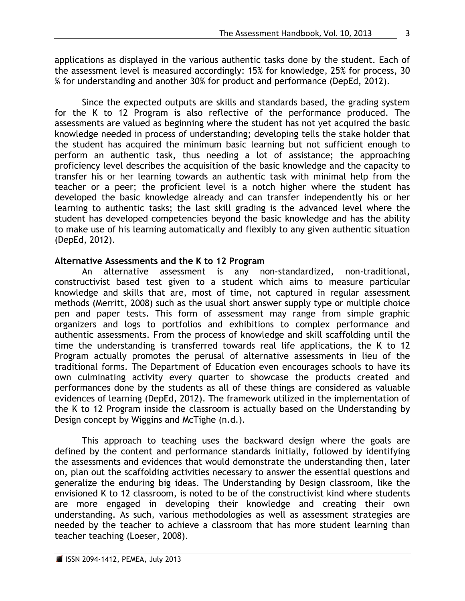applications as displayed in the various authentic tasks done by the student. Each of the assessment level is measured accordingly: 15% for knowledge, 25% for process, 30 % for understanding and another 30% for product and performance (DepEd, 2012).

Since the expected outputs are skills and standards based, the grading system for the K to 12 Program is also reflective of the performance produced. The assessments are valued as beginning where the student has not yet acquired the basic knowledge needed in process of understanding; developing tells the stake holder that the student has acquired the minimum basic learning but not sufficient enough to perform an authentic task, thus needing a lot of assistance; the approaching proficiency level describes the acquisition of the basic knowledge and the capacity to transfer his or her learning towards an authentic task with minimal help from the teacher or a peer; the proficient level is a notch higher where the student has developed the basic knowledge already and can transfer independently his or her learning to authentic tasks; the last skill grading is the advanced level where the student has developed competencies beyond the basic knowledge and has the ability to make use of his learning automatically and flexibly to any given authentic situation (DepEd, 2012).

### **Alternative Assessments and the K to 12 Program**

An alternative assessment is any non-standardized, non-traditional, constructivist based test given to a student which aims to measure particular knowledge and skills that are, most of time, not captured in regular assessment methods (Merritt, 2008) such as the usual short answer supply type or multiple choice pen and paper tests. This form of assessment may range from simple graphic organizers and logs to portfolios and exhibitions to complex performance and authentic assessments. From the process of knowledge and skill scaffolding until the time the understanding is transferred towards real life applications, the K to 12 Program actually promotes the perusal of alternative assessments in lieu of the traditional forms. The Department of Education even encourages schools to have its own culminating activity every quarter to showcase the products created and performances done by the students as all of these things are considered as valuable evidences of learning (DepEd, 2012). The framework utilized in the implementation of the K to 12 Program inside the classroom is actually based on the Understanding by Design concept by Wiggins and McTighe (n.d.).

This approach to teaching uses the backward design where the goals are defined by the content and performance standards initially, followed by identifying the assessments and evidences that would demonstrate the understanding then, later on, plan out the scaffolding activities necessary to answer the essential questions and generalize the enduring big ideas. The Understanding by Design classroom, like the envisioned K to 12 classroom, is noted to be of the constructivist kind where students are more engaged in developing their knowledge and creating their own understanding. As such, various methodologies as well as assessment strategies are needed by the teacher to achieve a classroom that has more student learning than teacher teaching (Loeser, 2008).

3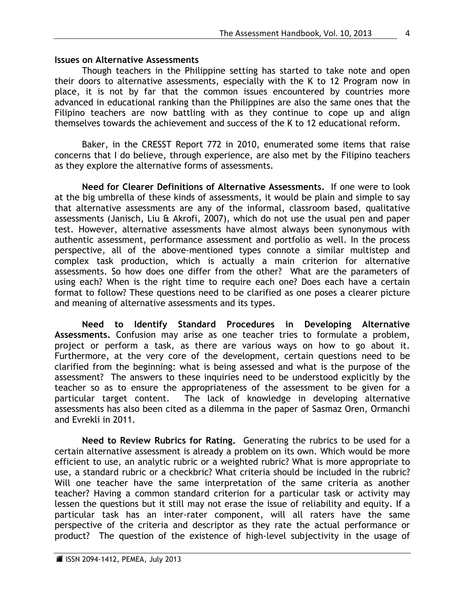#### **Issues on Alternative Assessments**

Though teachers in the Philippine setting has started to take note and open their doors to alternative assessments, especially with the K to 12 Program now in place, it is not by far that the common issues encountered by countries more advanced in educational ranking than the Philippines are also the same ones that the Filipino teachers are now battling with as they continue to cope up and align themselves towards the achievement and success of the K to 12 educational reform.

Baker, in the CRESST Report 772 in 2010, enumerated some items that raise concerns that I do believe, through experience, are also met by the Filipino teachers as they explore the alternative forms of assessments.

**Need for Clearer Definitions of Alternative Assessments.**If one were to look at the big umbrella of these kinds of assessments, it would be plain and simple to say that alternative assessments are any of the informal, classroom based, qualitative assessments (Janisch, Liu & Akrofi, 2007), which do not use the usual pen and paper test. However, alternative assessments have almost always been synonymous with authentic assessment, performance assessment and portfolio as well. In the process perspective, all of the above-mentioned types connote a similar multistep and complex task production, which is actually a main criterion for alternative assessments. So how does one differ from the other? What are the parameters of using each? When is the right time to require each one? Does each have a certain format to follow? These questions need to be clarified as one poses a clearer picture and meaning of alternative assessments and its types.

**Need to Identify Standard Procedures in Developing Alternative Assessments.** Confusion may arise as one teacher tries to formulate a problem, project or perform a task, as there are various ways on how to go about it. Furthermore, at the very core of the development, certain questions need to be clarified from the beginning: what is being assessed and what is the purpose of the assessment? The answers to these inquiries need to be understood explicitly by the teacher so as to ensure the appropriateness of the assessment to be given for a particular target content. The lack of knowledge in developing alternative assessments has also been cited as a dilemma in the paper of Sasmaz Oren, Ormanchi and Evrekli in 2011.

**Need to Review Rubrics for Rating.** Generating the rubrics to be used for a certain alternative assessment is already a problem on its own. Which would be more efficient to use, an analytic rubric or a weighted rubric? What is more appropriate to use, a standard rubric or a checkbric? What criteria should be included in the rubric? Will one teacher have the same interpretation of the same criteria as another teacher? Having a common standard criterion for a particular task or activity may lessen the questions but it still may not erase the issue of reliability and equity. If a particular task has an inter-rater component, will all raters have the same perspective of the criteria and descriptor as they rate the actual performance or product? The question of the existence of high-level subjectivity in the usage of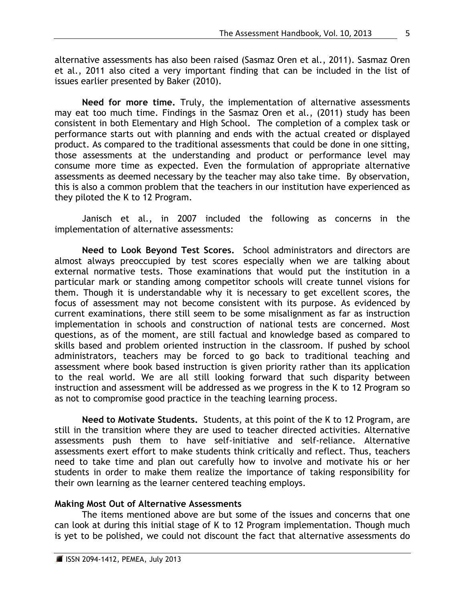alternative assessments has also been raised (Sasmaz Oren et al., 2011). Sasmaz Oren et al., 2011 also cited a very important finding that can be included in the list of issues earlier presented by Baker (2010).

**Need for more time.** Truly, the implementation of alternative assessments may eat too much time. Findings in the Sasmaz Oren et al., (2011) study has been consistent in both Elementary and High School. The completion of a complex task or performance starts out with planning and ends with the actual created or displayed product. As compared to the traditional assessments that could be done in one sitting, those assessments at the understanding and product or performance level may consume more time as expected. Even the formulation of appropriate alternative assessments as deemed necessary by the teacher may also take time. By observation, this is also a common problem that the teachers in our institution have experienced as they piloted the K to 12 Program.

Janisch et al., in 2007 included the following as concerns in the implementation of alternative assessments:

**Need to Look Beyond Test Scores.** School administrators and directors are almost always preoccupied by test scores especially when we are talking about external normative tests. Those examinations that would put the institution in a particular mark or standing among competitor schools will create tunnel visions for them. Though it is understandable why it is necessary to get excellent scores, the focus of assessment may not become consistent with its purpose. As evidenced by current examinations, there still seem to be some misalignment as far as instruction implementation in schools and construction of national tests are concerned. Most questions, as of the moment, are still factual and knowledge based as compared to skills based and problem oriented instruction in the classroom. If pushed by school administrators, teachers may be forced to go back to traditional teaching and assessment where book based instruction is given priority rather than its application to the real world. We are all still looking forward that such disparity between instruction and assessment will be addressed as we progress in the K to 12 Program so as not to compromise good practice in the teaching learning process.

**Need to Motivate Students.** Students, at this point of the K to 12 Program, are still in the transition where they are used to teacher directed activities. Alternative assessments push them to have self-initiative and self-reliance. Alternative assessments exert effort to make students think critically and reflect. Thus, teachers need to take time and plan out carefully how to involve and motivate his or her students in order to make them realize the importance of taking responsibility for their own learning as the learner centered teaching employs.

## **Making Most Out of Alternative Assessments**

The items mentioned above are but some of the issues and concerns that one can look at during this initial stage of K to 12 Program implementation. Though much is yet to be polished, we could not discount the fact that alternative assessments do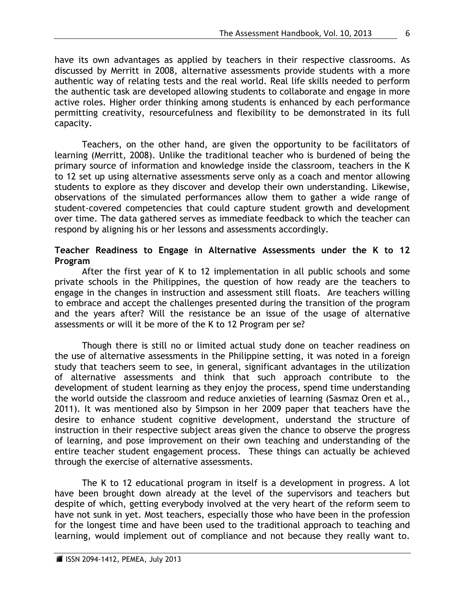have its own advantages as applied by teachers in their respective classrooms. As discussed by Merritt in 2008, alternative assessments provide students with a more authentic way of relating tests and the real world. Real life skills needed to perform the authentic task are developed allowing students to collaborate and engage in more active roles. Higher order thinking among students is enhanced by each performance permitting creativity, resourcefulness and flexibility to be demonstrated in its full capacity.

Teachers, on the other hand, are given the opportunity to be facilitators of learning (Merritt, 2008). Unlike the traditional teacher who is burdened of being the primary source of information and knowledge inside the classroom, teachers in the K to 12 set up using alternative assessments serve only as a coach and mentor allowing students to explore as they discover and develop their own understanding. Likewise, observations of the simulated performances allow them to gather a wide range of student-covered competencies that could capture student growth and development over time. The data gathered serves as immediate feedback to which the teacher can respond by aligning his or her lessons and assessments accordingly.

## **Teacher Readiness to Engage in Alternative Assessments under the K to 12 Program**

After the first year of K to 12 implementation in all public schools and some private schools in the Philippines, the question of how ready are the teachers to engage in the changes in instruction and assessment still floats. Are teachers willing to embrace and accept the challenges presented during the transition of the program and the years after? Will the resistance be an issue of the usage of alternative assessments or will it be more of the K to 12 Program per se?

Though there is still no or limited actual study done on teacher readiness on the use of alternative assessments in the Philippine setting, it was noted in a foreign study that teachers seem to see, in general, significant advantages in the utilization of alternative assessments and think that such approach contribute to the development of student learning as they enjoy the process, spend time understanding the world outside the classroom and reduce anxieties of learning (Sasmaz Oren et al., 2011). It was mentioned also by Simpson in her 2009 paper that teachers have the desire to enhance student cognitive development, understand the structure of instruction in their respective subject areas given the chance to observe the progress of learning, and pose improvement on their own teaching and understanding of the entire teacher student engagement process. These things can actually be achieved through the exercise of alternative assessments.

The K to 12 educational program in itself is a development in progress. A lot have been brought down already at the level of the supervisors and teachers but despite of which, getting everybody involved at the very heart of the reform seem to have not sunk in yet. Most teachers, especially those who have been in the profession for the longest time and have been used to the traditional approach to teaching and learning, would implement out of compliance and not because they really want to.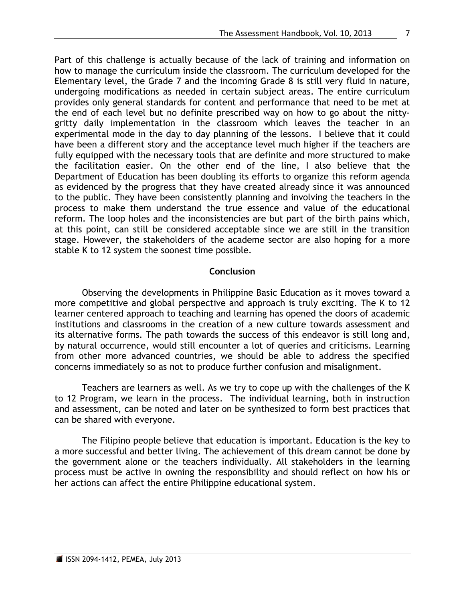Part of this challenge is actually because of the lack of training and information on how to manage the curriculum inside the classroom. The curriculum developed for the Elementary level, the Grade 7 and the incoming Grade 8 is still very fluid in nature, undergoing modifications as needed in certain subject areas. The entire curriculum provides only general standards for content and performance that need to be met at the end of each level but no definite prescribed way on how to go about the nittygritty daily implementation in the classroom which leaves the teacher in an experimental mode in the day to day planning of the lessons. I believe that it could have been a different story and the acceptance level much higher if the teachers are fully equipped with the necessary tools that are definite and more structured to make the facilitation easier. On the other end of the line, I also believe that the Department of Education has been doubling its efforts to organize this reform agenda as evidenced by the progress that they have created already since it was announced to the public. They have been consistently planning and involving the teachers in the process to make them understand the true essence and value of the educational reform. The loop holes and the inconsistencies are but part of the birth pains which, at this point, can still be considered acceptable since we are still in the transition stage. However, the stakeholders of the academe sector are also hoping for a more stable K to 12 system the soonest time possible.

# **Conclusion**

Observing the developments in Philippine Basic Education as it moves toward a more competitive and global perspective and approach is truly exciting. The K to 12 learner centered approach to teaching and learning has opened the doors of academic institutions and classrooms in the creation of a new culture towards assessment and its alternative forms. The path towards the success of this endeavor is still long and, by natural occurrence, would still encounter a lot of queries and criticisms. Learning from other more advanced countries, we should be able to address the specified concerns immediately so as not to produce further confusion and misalignment.

Teachers are learners as well. As we try to cope up with the challenges of the K to 12 Program, we learn in the process. The individual learning, both in instruction and assessment, can be noted and later on be synthesized to form best practices that can be shared with everyone.

The Filipino people believe that education is important. Education is the key to a more successful and better living. The achievement of this dream cannot be done by the government alone or the teachers individually. All stakeholders in the learning process must be active in owning the responsibility and should reflect on how his or her actions can affect the entire Philippine educational system.